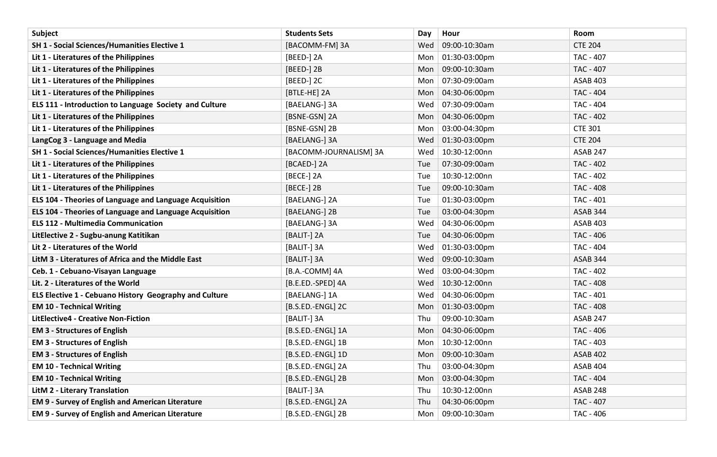| Subject                                                 | <b>Students Sets</b>   | Day | Hour          | Room             |
|---------------------------------------------------------|------------------------|-----|---------------|------------------|
| <b>SH 1 - Social Sciences/Humanities Elective 1</b>     | [BACOMM-FM] 3A         | Wed | 09:00-10:30am | <b>CTE 204</b>   |
| Lit 1 - Literatures of the Philippines                  | [BEED-] 2A             | Mon | 01:30-03:00pm | TAC - 407        |
| Lit 1 - Literatures of the Philippines                  | [BEED-] 2B             | Mon | 09:00-10:30am | TAC - 407        |
| Lit 1 - Literatures of the Philippines                  | [BEED-] 2C             | Mon | 07:30-09:00am | <b>ASAB 403</b>  |
| Lit 1 - Literatures of the Philippines                  | [BTLE-HE] 2A           | Mon | 04:30-06:00pm | <b>TAC - 404</b> |
| ELS 111 - Introduction to Language Society and Culture  | [BAELANG-] 3A          | Wed | 07:30-09:00am | <b>TAC - 404</b> |
| Lit 1 - Literatures of the Philippines                  | [BSNE-GSN] 2A          | Mon | 04:30-06:00pm | <b>TAC - 402</b> |
| Lit 1 - Literatures of the Philippines                  | [BSNE-GSN] 2B          | Mon | 03:00-04:30pm | <b>CTE 301</b>   |
| LangCog 3 - Language and Media                          | [BAELANG-] 3A          | Wed | 01:30-03:00pm | <b>CTE 204</b>   |
| <b>SH 1 - Social Sciences/Humanities Elective 1</b>     | [BACOMM-JOURNALISM] 3A | Wed | 10:30-12:00nn | <b>ASAB 247</b>  |
| Lit 1 - Literatures of the Philippines                  | [BCAED-] 2A            | Tue | 07:30-09:00am | <b>TAC - 402</b> |
| Lit 1 - Literatures of the Philippines                  | [BECE-] 2A             | Tue | 10:30-12:00nn | <b>TAC - 402</b> |
| Lit 1 - Literatures of the Philippines                  | [BECE-] 2B             | Tue | 09:00-10:30am | <b>TAC - 408</b> |
| ELS 104 - Theories of Language and Language Acquisition | [BAELANG-] 2A          | Tue | 01:30-03:00pm | <b>TAC - 401</b> |
| ELS 104 - Theories of Language and Language Acquisition | [BAELANG-] 2B          | Tue | 03:00-04:30pm | <b>ASAB 344</b>  |
| <b>ELS 112 - Multimedia Communication</b>               | [BAELANG-] 3A          | Wed | 04:30-06:00pm | <b>ASAB 403</b>  |
| LitElective 2 - Sugbu-anung Katitikan                   | [BALIT-] 2A            | Tue | 04:30-06:00pm | TAC - 406        |
| Lit 2 - Literatures of the World                        | [BALIT-] 3A            | Wed | 01:30-03:00pm | <b>TAC - 404</b> |
| LitM 3 - Literatures of Africa and the Middle East      | [BALIT-] 3A            | Wed | 09:00-10:30am | <b>ASAB 344</b>  |
| Ceb. 1 - Cebuano-Visayan Language                       | [B.A.-COMM] 4A         | Wed | 03:00-04:30pm | <b>TAC - 402</b> |
| Lit. 2 - Literatures of the World                       | [B.E.ED.-SPED] 4A      | Wed | 10:30-12:00nn | <b>TAC - 408</b> |
| ELS Elective 1 - Cebuano History Geography and Culture  | [BAELANG-] 1A          | Wed | 04:30-06:00pm | TAC - 401        |
| <b>EM 10 - Technical Writing</b>                        | [B.S.ED.-ENGL] 2C      | Mon | 01:30-03:00pm | <b>TAC - 408</b> |
| <b>LitElective4 - Creative Non-Fiction</b>              | [BALIT-] 3A            | Thu | 09:00-10:30am | <b>ASAB 247</b>  |
| <b>EM 3 - Structures of English</b>                     | [B.S.ED.-ENGL] 1A      | Mon | 04:30-06:00pm | TAC - 406        |
| <b>EM 3 - Structures of English</b>                     | [B.S.ED.-ENGL] 1B      | Mon | 10:30-12:00nn | TAC - 403        |
| <b>EM 3 - Structures of English</b>                     | [B.S.ED.-ENGL] 1D      | Mon | 09:00-10:30am | <b>ASAB 402</b>  |
| <b>EM 10 - Technical Writing</b>                        | [B.S.ED.-ENGL] 2A      | Thu | 03:00-04:30pm | ASAB 404         |
| <b>EM 10 - Technical Writing</b>                        | [B.S.ED.-ENGL] 2B      | Mon | 03:00-04:30pm | <b>TAC - 404</b> |
| <b>LitM 2 - Literary Translation</b>                    | [BALIT-] 3A            | Thu | 10:30-12:00nn | ASAB 248         |
| <b>EM 9 - Survey of English and American Literature</b> | [B.S.ED.-ENGL] 2A      | Thu | 04:30-06:00pm | <b>TAC - 407</b> |
| <b>EM 9 - Survey of English and American Literature</b> | [B.S.ED.-ENGL] 2B      | Mon | 09:00-10:30am | TAC - 406        |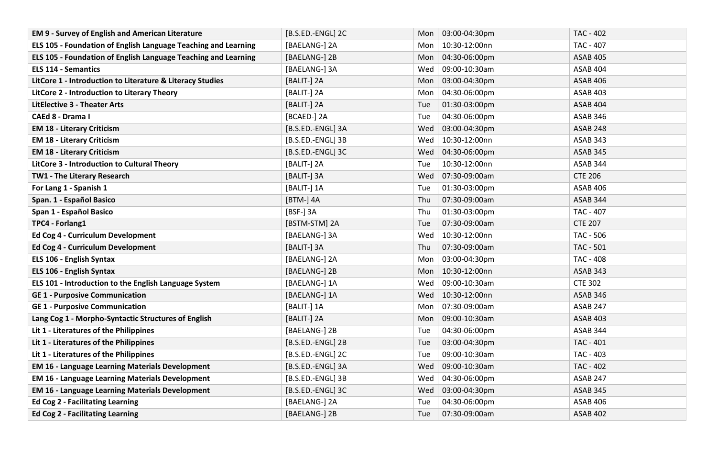| <b>EM 9 - Survey of English and American Literature</b>        | [B.S.ED.-ENGL] 2C | Mon        | 03:00-04:30pm | TAC - 402        |
|----------------------------------------------------------------|-------------------|------------|---------------|------------------|
| ELS 105 - Foundation of English Language Teaching and Learning | [BAELANG-] 2A     | Mon        | 10:30-12:00nn | TAC - 407        |
| ELS 105 - Foundation of English Language Teaching and Learning | [BAELANG-] 2B     | Mon        | 04:30-06:00pm | <b>ASAB 405</b>  |
| <b>ELS 114 - Semantics</b>                                     | [BAELANG-] 3A     | Wed        | 09:00-10:30am | <b>ASAB 404</b>  |
| LitCore 1 - Introduction to Literature & Literacy Studies      | [BALIT-] 2A       | Mon        | 03:00-04:30pm | <b>ASAB 406</b>  |
| LitCore 2 - Introduction to Literary Theory                    | [BALIT-] 2A       | Mon        | 04:30-06:00pm | <b>ASAB 403</b>  |
| <b>LitElective 3 - Theater Arts</b>                            | [BALIT-] 2A       | Tue        | 01:30-03:00pm | <b>ASAB 404</b>  |
| CAEd 8 - Drama I                                               | [BCAED-] 2A       | Tue        | 04:30-06:00pm | <b>ASAB 346</b>  |
| <b>EM 18 - Literary Criticism</b>                              | [B.S.ED.-ENGL] 3A | Wed        | 03:00-04:30pm | <b>ASAB 248</b>  |
| <b>EM 18 - Literary Criticism</b>                              | [B.S.ED.-ENGL] 3B | Wed        | 10:30-12:00nn | <b>ASAB 343</b>  |
| <b>EM 18 - Literary Criticism</b>                              | [B.S.ED.-ENGL] 3C | Wed        | 04:30-06:00pm | <b>ASAB 345</b>  |
| LitCore 3 - Introduction to Cultural Theory                    | [BALIT-] 2A       | Tue        | 10:30-12:00nn | <b>ASAB 344</b>  |
| TW1 - The Literary Research                                    | [BALIT-] 3A       | Wed        | 07:30-09:00am | <b>CTE 206</b>   |
| For Lang 1 - Spanish 1                                         | [BALIT-] 1A       | Tue        | 01:30-03:00pm | <b>ASAB 406</b>  |
| Span. 1 - Español Basico                                       | [BTM-] 4A         | Thu        | 07:30-09:00am | ASAB 344         |
| Span 1 - Español Basico                                        | [BSF-] 3A         | Thu        | 01:30-03:00pm | TAC - 407        |
| TPC4 - Forlang1                                                | [BSTM-STM] 2A     | Tue        | 07:30-09:00am | <b>CTE 207</b>   |
| Ed Cog 4 - Curriculum Development                              | [BAELANG-] 3A     | Wed        | 10:30-12:00nn | <b>TAC - 506</b> |
| Ed Cog 4 - Curriculum Development                              | [BALIT-] 3A       | Thu        | 07:30-09:00am | TAC - 501        |
| ELS 106 - English Syntax                                       | [BAELANG-] 2A     | Mon        | 03:00-04:30pm | TAC - 408        |
| ELS 106 - English Syntax                                       | [BAELANG-] 2B     | Mon        | 10:30-12:00nn | <b>ASAB 343</b>  |
| ELS 101 - Introduction to the English Language System          | [BAELANG-] 1A     | Wed        | 09:00-10:30am | <b>CTE 302</b>   |
| <b>GE 1 - Purposive Communication</b>                          | [BAELANG-] 1A     | Wed        | 10:30-12:00nn | <b>ASAB 346</b>  |
| <b>GE 1 - Purposive Communication</b>                          | [BALIT-] 1A       | Mon        | 07:30-09:00am | <b>ASAB 247</b>  |
| Lang Cog 1 - Morpho-Syntactic Structures of English            | [BALIT-] 2A       | <b>Mon</b> | 09:00-10:30am | <b>ASAB 403</b>  |
| Lit 1 - Literatures of the Philippines                         | [BAELANG-] 2B     | Tue        | 04:30-06:00pm | ASAB 344         |
| Lit 1 - Literatures of the Philippines                         | [B.S.ED.-ENGL] 2B | Tue        | 03:00-04:30pm | TAC - 401        |
| Lit 1 - Literatures of the Philippines                         | [B.S.ED.-ENGL] 2C | Tue        | 09:00-10:30am | TAC - 403        |
| <b>EM 16 - Language Learning Materials Development</b>         | [B.S.ED.-ENGL] 3A | Wed        | 09:00-10:30am | TAC - 402        |
| <b>EM 16 - Language Learning Materials Development</b>         | [B.S.ED.-ENGL] 3B | Wed        | 04:30-06:00pm | ASAB 247         |
| <b>EM 16 - Language Learning Materials Development</b>         | [B.S.ED.-ENGL] 3C | Wed        | 03:00-04:30pm | <b>ASAB 345</b>  |
| <b>Ed Cog 2 - Facilitating Learning</b>                        | [BAELANG-] 2A     | Tue        | 04:30-06:00pm | <b>ASAB 406</b>  |
| <b>Ed Cog 2 - Facilitating Learning</b>                        | [BAELANG-] 2B     | Tue        | 07:30-09:00am | <b>ASAB 402</b>  |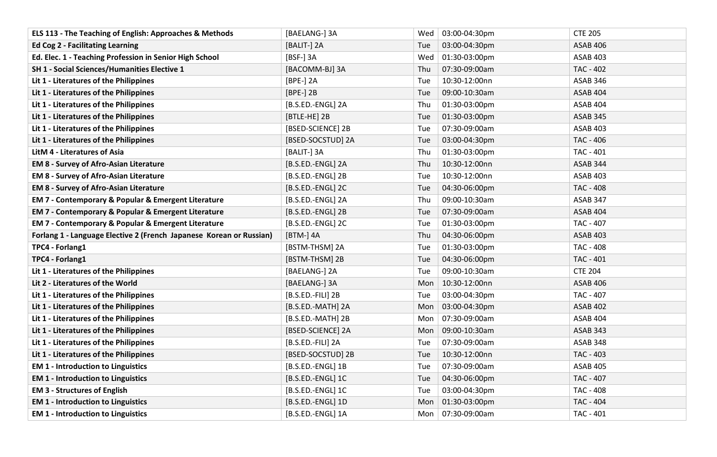| ELS 113 - The Teaching of English: Approaches & Methods             | [BAELANG-] 3A     | 03:00-04:30pm<br>Wed             | <b>CTE 205</b>   |
|---------------------------------------------------------------------|-------------------|----------------------------------|------------------|
| <b>Ed Cog 2 - Facilitating Learning</b>                             | [BALIT-] 2A       | 03:00-04:30pm<br>Tue             | <b>ASAB 406</b>  |
| Ed. Elec. 1 - Teaching Profession in Senior High School             | [BSF-] 3A         | 01:30-03:00pm<br>Wed             | <b>ASAB 403</b>  |
| SH 1 - Social Sciences/Humanities Elective 1                        | [BACOMM-BJ] 3A    | 07:30-09:00am<br>Thu             | <b>TAC - 402</b> |
| Lit 1 - Literatures of the Philippines                              | [BPE-] 2A         | 10:30-12:00nn<br>Tue             | ASAB 346         |
| Lit 1 - Literatures of the Philippines                              | [BPE-] 2B         | 09:00-10:30am<br>Tue             | <b>ASAB 404</b>  |
| Lit 1 - Literatures of the Philippines                              | [B.S.ED.-ENGL] 2A | 01:30-03:00pm<br>Thu             | <b>ASAB 404</b>  |
| Lit 1 - Literatures of the Philippines                              | [BTLE-HE] 2B      | 01:30-03:00pm<br>Tue             | <b>ASAB 345</b>  |
| Lit 1 - Literatures of the Philippines                              | [BSED-SCIENCE] 2B | 07:30-09:00am<br>Tue             | <b>ASAB 403</b>  |
| Lit 1 - Literatures of the Philippines                              | [BSED-SOCSTUD] 2A | 03:00-04:30pm<br>Tue             | TAC - 406        |
| LitM 4 - Literatures of Asia                                        | [BALIT-] 3A       | 01:30-03:00pm<br>Thu             | TAC - 401        |
| <b>EM 8 - Survey of Afro-Asian Literature</b>                       | [B.S.ED.-ENGL] 2A | 10:30-12:00nn<br>Thu             | <b>ASAB 344</b>  |
| <b>EM 8 - Survey of Afro-Asian Literature</b>                       | [B.S.ED.-ENGL] 2B | 10:30-12:00nn<br>Tue             | <b>ASAB 403</b>  |
| <b>EM 8 - Survey of Afro-Asian Literature</b>                       | [B.S.ED.-ENGL] 2C | 04:30-06:00pm<br>Tue             | <b>TAC - 408</b> |
| EM 7 - Contemporary & Popular & Emergent Literature                 | [B.S.ED.-ENGL] 2A | 09:00-10:30am<br>Thu             | <b>ASAB 347</b>  |
| EM 7 - Contemporary & Popular & Emergent Literature                 | [B.S.ED.-ENGL] 2B | 07:30-09:00am<br>Tue             | <b>ASAB 404</b>  |
| EM 7 - Contemporary & Popular & Emergent Literature                 | [B.S.ED.-ENGL] 2C | 01:30-03:00pm<br>Tue             | TAC - 407        |
| Forlang 1 - Language Elective 2 (French Japanese Korean or Russian) | [BTM-] 4A         | 04:30-06:00pm<br>Thu             | <b>ASAB 403</b>  |
| TPC4 - Forlang1                                                     | [BSTM-THSM] 2A    | 01:30-03:00pm<br>Tue             | <b>TAC - 408</b> |
| TPC4 - Forlang1                                                     | [BSTM-THSM] 2B    | 04:30-06:00pm<br>Tue             | TAC - 401        |
| Lit 1 - Literatures of the Philippines                              | [BAELANG-] 2A     | 09:00-10:30am<br>Tue             | <b>CTE 204</b>   |
| Lit 2 - Literatures of the World                                    | [BAELANG-] 3A     | 10:30-12:00nn<br>Mon             | <b>ASAB 406</b>  |
| Lit 1 - Literatures of the Philippines                              | [B.S.ED.-FILI] 2B | 03:00-04:30pm<br>Tue             | TAC - 407        |
| Lit 1 - Literatures of the Philippines                              | [B.S.ED.-MATH] 2A | 03:00-04:30pm<br>Mon             | <b>ASAB 402</b>  |
| Lit 1 - Literatures of the Philippines                              | [B.S.ED.-MATH] 2B | 07:30-09:00am<br>Mon             | <b>ASAB 404</b>  |
| Lit 1 - Literatures of the Philippines                              | [BSED-SCIENCE] 2A | 09:00-10:30am<br>Mon             | <b>ASAB 343</b>  |
| Lit 1 - Literatures of the Philippines                              | [B.S.ED.-FILI] 2A | 07:30-09:00am<br>Tue             | ASAB 348         |
| Lit 1 - Literatures of the Philippines                              | [BSED-SOCSTUD] 2B | 10:30-12:00nn<br>Tue             | TAC - 403        |
| <b>EM 1 - Introduction to Linguistics</b>                           | [B.S.ED.-ENGL] 1B | 07:30-09:00am<br>Tue             | <b>ASAB 405</b>  |
| <b>EM 1 - Introduction to Linguistics</b>                           | [B.S.ED.-ENGL] 1C | 04:30-06:00pm<br>Tue             | TAC - 407        |
| <b>EM 3 - Structures of English</b>                                 | [B.S.ED.-ENGL] 1C | 03:00-04:30pm<br>Tue             | <b>TAC - 408</b> |
| <b>EM 1 - Introduction to Linguistics</b>                           | [B.S.ED.-ENGL] 1D | 01:30-03:00pm<br>Mon             | TAC - 404        |
| <b>EM 1 - Introduction to Linguistics</b>                           | [B.S.ED.-ENGL] 1A | 07:30-09:00am<br>Mon $\parallel$ | TAC - 401        |